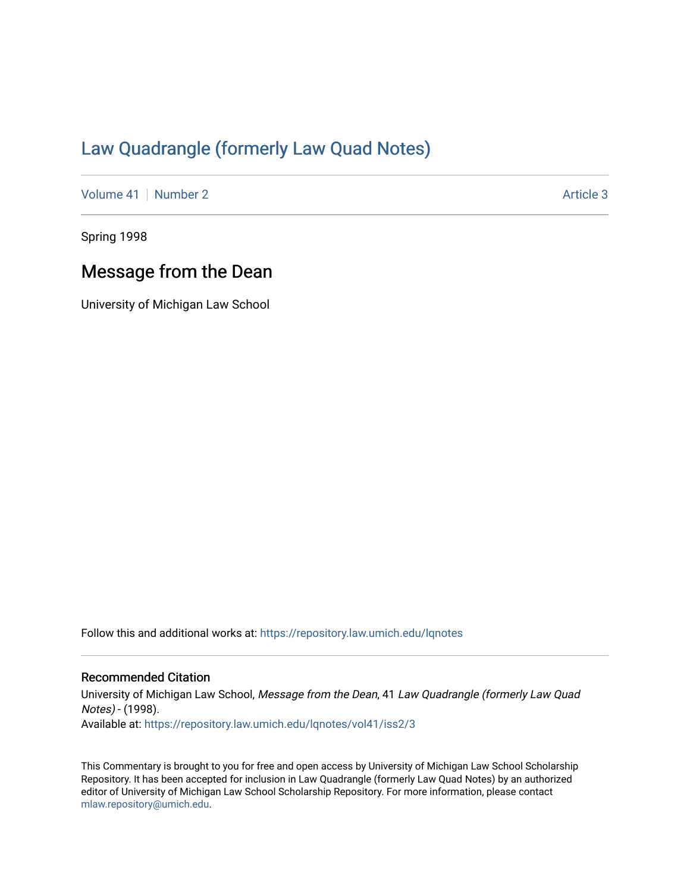## [Law Quadrangle \(formerly Law Quad Notes\)](https://repository.law.umich.edu/lqnotes)

[Volume 41](https://repository.law.umich.edu/lqnotes/vol41) | [Number 2](https://repository.law.umich.edu/lqnotes/vol41/iss2) Article 3

Spring 1998

## Message from the Dean

University of Michigan Law School

Follow this and additional works at: [https://repository.law.umich.edu/lqnotes](https://repository.law.umich.edu/lqnotes?utm_source=repository.law.umich.edu%2Flqnotes%2Fvol41%2Fiss2%2F3&utm_medium=PDF&utm_campaign=PDFCoverPages) 

## Recommended Citation

University of Michigan Law School, Message from the Dean, 41 Law Quadrangle (formerly Law Quad Notes) - (1998). Available at: [https://repository.law.umich.edu/lqnotes/vol41/iss2/3](https://repository.law.umich.edu/lqnotes/vol41/iss2/3?utm_source=repository.law.umich.edu%2Flqnotes%2Fvol41%2Fiss2%2F3&utm_medium=PDF&utm_campaign=PDFCoverPages) 

This Commentary is brought to you for free and open access by University of Michigan Law School Scholarship Repository. It has been accepted for inclusion in Law Quadrangle (formerly Law Quad Notes) by an authorized editor of University of Michigan Law School Scholarship Repository. For more information, please contact [mlaw.repository@umich.edu.](mailto:mlaw.repository@umich.edu)